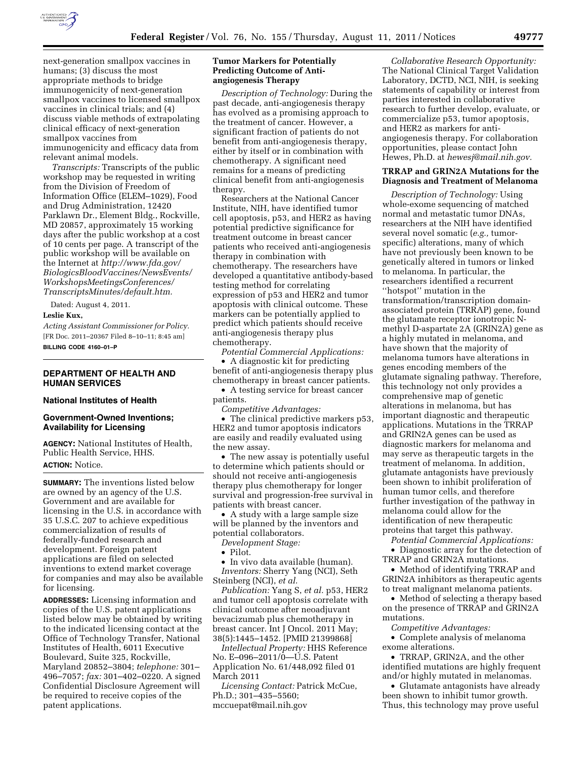

next-generation smallpox vaccines in humans; (3) discuss the most appropriate methods to bridge immunogenicity of next-generation smallpox vaccines to licensed smallpox vaccines in clinical trials; and (4) discuss viable methods of extrapolating clinical efficacy of next-generation smallpox vaccines from immunogenicity and efficacy data from relevant animal models.

*Transcripts:* Transcripts of the public workshop may be requested in writing from the Division of Freedom of Information Office (ELEM–1029), Food and Drug Administration, 12420 Parklawn Dr., Element Bldg., Rockville, MD 20857, approximately 15 working days after the public workshop at a cost of 10 cents per page. A transcript of the public workshop will be available on the Internet at *[http://www.fda.gov/](http://www.fda.gov/BiologicsBloodVaccines/NewsEvents/WorkshopsMeetingsConferences/TranscriptsMinutes/default.htm)  [BiologicsBloodVaccines/NewsEvents/](http://www.fda.gov/BiologicsBloodVaccines/NewsEvents/WorkshopsMeetingsConferences/TranscriptsMinutes/default.htm) [WorkshopsMeetingsConferences/](http://www.fda.gov/BiologicsBloodVaccines/NewsEvents/WorkshopsMeetingsConferences/TranscriptsMinutes/default.htm)  [TranscriptsMinutes/default.htm.](http://www.fda.gov/BiologicsBloodVaccines/NewsEvents/WorkshopsMeetingsConferences/TranscriptsMinutes/default.htm)* 

Dated: August 4, 2011. **Leslie Kux,** 

*Acting Assistant Commissioner for Policy.*  [FR Doc. 2011–20367 Filed 8–10–11; 8:45 am]

**BILLING CODE 4160–01–P** 

#### **DEPARTMENT OF HEALTH AND HUMAN SERVICES**

### **National Institutes of Health**

# **Government-Owned Inventions; Availability for Licensing**

**AGENCY:** National Institutes of Health, Public Health Service, HHS.

# **ACTION:** Notice.

**SUMMARY:** The inventions listed below are owned by an agency of the U.S. Government and are available for licensing in the U.S. in accordance with 35 U.S.C. 207 to achieve expeditious commercialization of results of federally-funded research and development. Foreign patent applications are filed on selected inventions to extend market coverage for companies and may also be available for licensing.

**ADDRESSES:** Licensing information and copies of the U.S. patent applications listed below may be obtained by writing to the indicated licensing contact at the Office of Technology Transfer, National Institutes of Health, 6011 Executive Boulevard, Suite 325, Rockville, Maryland 20852–3804; *telephone:* 301– 496–7057; *fax:* 301–402–0220. A signed Confidential Disclosure Agreement will be required to receive copies of the patent applications.

### **Tumor Markers for Potentially Predicting Outcome of Antiangiogenesis Therapy**

*Description of Technology:* During the past decade, anti-angiogenesis therapy has evolved as a promising approach to the treatment of cancer. However, a significant fraction of patients do not benefit from anti-angiogenesis therapy, either by itself or in combination with chemotherapy. A significant need remains for a means of predicting clinical benefit from anti-angiogenesis therapy.

Researchers at the National Cancer Institute, NIH, have identified tumor cell apoptosis, p53, and HER2 as having potential predictive significance for treatment outcome in breast cancer patients who received anti-angiogenesis therapy in combination with chemotherapy. The researchers have developed a quantitative antibody-based testing method for correlating expression of p53 and HER2 and tumor apoptosis with clinical outcome. These markers can be potentially applied to predict which patients should receive anti-angiogenesis therapy plus chemotherapy.

*Potential Commercial Applications:*  • A diagnostic kit for predicting benefit of anti-angiogenesis therapy plus chemotherapy in breast cancer patients.

• A testing service for breast cancer patients.

*Competitive Advantages:* 

• The clinical predictive markers p53, HER2 and tumor apoptosis indicators are easily and readily evaluated using the new assay.

• The new assay is potentially useful to determine which patients should or should not receive anti-angiogenesis therapy plus chemotherapy for longer survival and progression-free survival in patients with breast cancer.

• A study with a large sample size will be planned by the inventors and potential collaborators.

*Development Stage:* 

• Pilot.

• In vivo data available (human).

*Inventors:* Sherry Yang (NCI), Seth Steinberg (NCI), *et al.* 

*Publication:* Yang S, *et al.* p53, HER2 and tumor cell apoptosis correlate with clinical outcome after neoadjuvant bevacizumab plus chemotherapy in breast cancer. Int J Oncol. 2011 May; 38(5):1445–1452. [PMID 21399868]

*Intellectual Property:* HHS Reference No. E–096–2011/0—U.S. Patent Application No. 61/448,092 filed 01 March 2011

*Licensing Contact:* Patrick McCue, Ph.D.; 301–435–5560; mccuepat@mail.nih.gov

*Collaborative Research Opportunity:*  The National Clinical Target Validation Laboratory, DCTD, NCI, NIH, is seeking statements of capability or interest from parties interested in collaborative research to further develop, evaluate, or commercialize p53, tumor apoptosis, and HER2 as markers for antiangiogenesis therapy. For collaboration opportunities, please contact John Hewes, Ph.D. at *[hewesj@mail.nih.gov.](mailto:hewesj@mail.nih.gov)* 

#### **TRRAP and GRIN2A Mutations for the Diagnosis and Treatment of Melanoma**

*Description of Technology:* Using whole-exome sequencing of matched normal and metastatic tumor DNAs, researchers at the NIH have identified several novel somatic (*e.g.,* tumorspecific) alterations, many of which have not previously been known to be genetically altered in tumors or linked to melanoma. In particular, the researchers identified a recurrent ''hotspot'' mutation in the transformation/transcription domainassociated protein (TRRAP) gene, found the glutamate receptor ionotropic Nmethyl D-aspartate 2A (GRIN2A) gene as a highly mutated in melanoma, and have shown that the majority of melanoma tumors have alterations in genes encoding members of the glutamate signaling pathway. Therefore, this technology not only provides a comprehensive map of genetic alterations in melanoma, but has important diagnostic and therapeutic applications. Mutations in the TRRAP and GRIN2A genes can be used as diagnostic markers for melanoma and may serve as therapeutic targets in the treatment of melanoma. In addition, glutamate antagonists have previously been shown to inhibit proliferation of human tumor cells, and therefore further investigation of the pathway in melanoma could allow for the identification of new therapeutic proteins that target this pathway.

*Potential Commercial Applications:* 

• Diagnostic array for the detection of TRRAP and GRIN2A mutations.

• Method of identifying TRRAP and GRIN2A inhibitors as therapeutic agents to treat malignant melanoma patients.

• Method of selecting a therapy based on the presence of TRRAP and GRIN2A mutations.

*Competitive Advantages:* 

• Complete analysis of melanoma exome alterations.

• TRRAP, GRIN2A, and the other identified mutations are highly frequent and/or highly mutated in melanomas.

• Glutamate antagonists have already been shown to inhibit tumor growth. Thus, this technology may prove useful